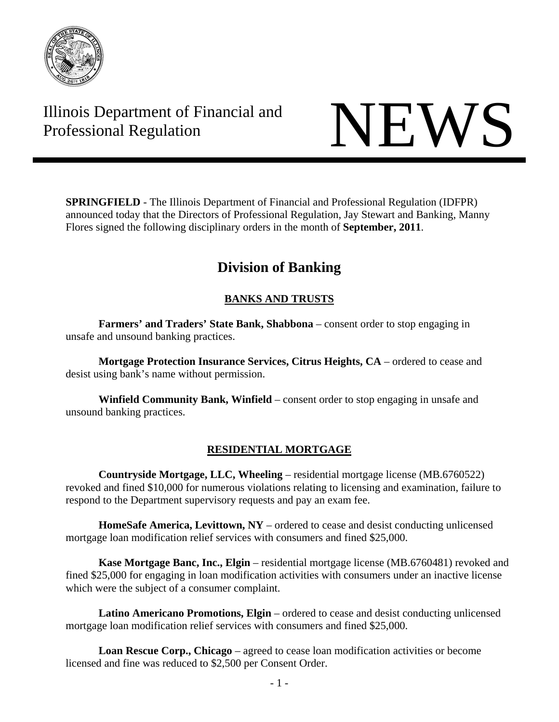

# Illinois Department of Financial and Illinois Department of Financial and<br>Professional Regulation



**SPRINGFIELD** - The Illinois Department of Financial and Professional Regulation (IDFPR) announced today that the Directors of Professional Regulation, Jay Stewart and Banking, Manny Flores signed the following disciplinary orders in the month of **September, 2011**.

# **Division of Banking**

# **BANKS AND TRUSTS**

**Farmers' and Traders' State Bank, Shabbona** – consent order to stop engaging in unsafe and unsound banking practices.

**Mortgage Protection Insurance Services, Citrus Heights, CA** – ordered to cease and desist using bank's name without permission.

**Winfield Community Bank, Winfield** – consent order to stop engaging in unsafe and unsound banking practices.

# **RESIDENTIAL MORTGAGE**

**Countryside Mortgage, LLC, Wheeling** – residential mortgage license (MB.6760522) revoked and fined \$10,000 for numerous violations relating to licensing and examination, failure to respond to the Department supervisory requests and pay an exam fee.

**HomeSafe America, Levittown, NY** – ordered to cease and desist conducting unlicensed mortgage loan modification relief services with consumers and fined \$25,000.

**Kase Mortgage Banc, Inc., Elgin** – residential mortgage license (MB.6760481) revoked and fined \$25,000 for engaging in loan modification activities with consumers under an inactive license which were the subject of a consumer complaint.

**Latino Americano Promotions, Elgin** – ordered to cease and desist conducting unlicensed mortgage loan modification relief services with consumers and fined \$25,000.

**Loan Rescue Corp., Chicago** – agreed to cease loan modification activities or become licensed and fine was reduced to \$2,500 per Consent Order.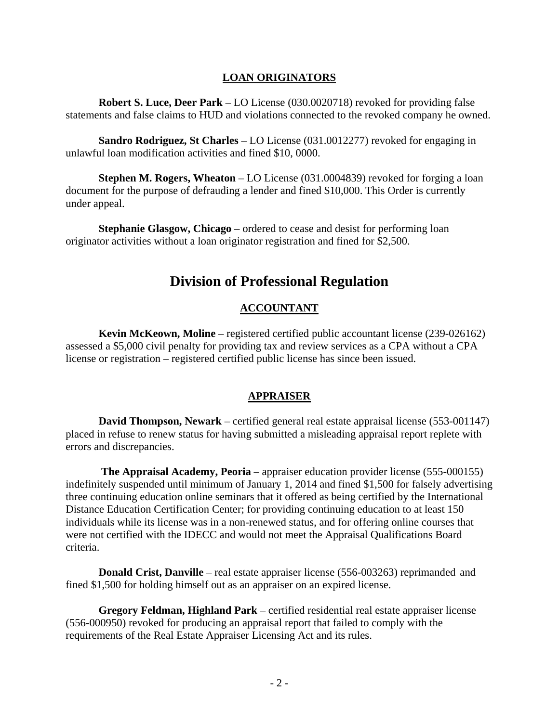#### **LOAN ORIGINATORS**

**Robert S. Luce, Deer Park** – LO License (030.0020718) revoked for providing false statements and false claims to HUD and violations connected to the revoked company he owned.

**Sandro Rodriguez, St Charles** – LO License (031.0012277) revoked for engaging in unlawful loan modification activities and fined \$10, 0000.

**Stephen M. Rogers, Wheaton** – LO License (031.0004839) revoked for forging a loan document for the purpose of defrauding a lender and fined \$10,000. This Order is currently under appeal.

**Stephanie Glasgow, Chicago** – ordered to cease and desist for performing loan originator activities without a loan originator registration and fined for \$2,500.

# **Division of Professional Regulation**

# **ACCOUNTANT**

 **Kevin McKeown, Moline** – registered certified public accountant license (239-026162) assessed a \$5,000 civil penalty for providing tax and review services as a CPA without a CPA license or registration – registered certified public license has since been issued.

#### **APPRAISER**

 **David Thompson, Newark** – certified general real estate appraisal license (553-001147) placed in refuse to renew status for having submitted a misleading appraisal report replete with errors and discrepancies.

 **The Appraisal Academy, Peoria** – appraiser education provider license (555-000155) indefinitely suspended until minimum of January 1, 2014 and fined \$1,500 for falsely advertising three continuing education online seminars that it offered as being certified by the International Distance Education Certification Center; for providing continuing education to at least 150 individuals while its license was in a non-renewed status, and for offering online courses that were not certified with the IDECC and would not meet the Appraisal Qualifications Board criteria.

**Donald Crist, Danville** – real estate appraiser license (556-003263) reprimanded and fined \$1,500 for holding himself out as an appraiser on an expired license.

 **Gregory Feldman, Highland Park** – certified residential real estate appraiser license (556-000950) revoked for producing an appraisal report that failed to comply with the requirements of the Real Estate Appraiser Licensing Act and its rules.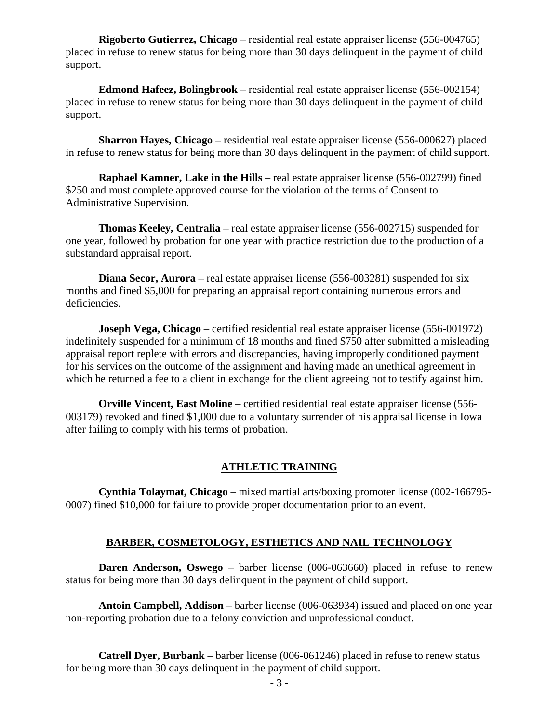**Rigoberto Gutierrez, Chicago** – residential real estate appraiser license (556-004765) placed in refuse to renew status for being more than 30 days delinquent in the payment of child support.

 **Edmond Hafeez, Bolingbrook** – residential real estate appraiser license (556-002154) placed in refuse to renew status for being more than 30 days delinquent in the payment of child support.

 **Sharron Hayes, Chicago** – residential real estate appraiser license (556-000627) placed in refuse to renew status for being more than 30 days delinquent in the payment of child support.

 **Raphael Kamner, Lake in the Hills** – real estate appraiser license (556-002799) fined \$250 and must complete approved course for the violation of the terms of Consent to Administrative Supervision.

 **Thomas Keeley, Centralia** – real estate appraiser license (556-002715) suspended for one year, followed by probation for one year with practice restriction due to the production of a substandard appraisal report.

**Diana Secor, Aurora** – real estate appraiser license (556-003281) suspended for six months and fined \$5,000 for preparing an appraisal report containing numerous errors and deficiencies.

**Joseph Vega, Chicago** – certified residential real estate appraiser license (556-001972) indefinitely suspended for a minimum of 18 months and fined \$750 after submitted a misleading appraisal report replete with errors and discrepancies, having improperly conditioned payment for his services on the outcome of the assignment and having made an unethical agreement in which he returned a fee to a client in exchange for the client agreeing not to testify against him.

 **Orville Vincent, East Moline** – certified residential real estate appraiser license (556- 003179) revoked and fined \$1,000 due to a voluntary surrender of his appraisal license in Iowa after failing to comply with his terms of probation.

#### **ATHLETIC TRAINING**

 **Cynthia Tolaymat, Chicago** – mixed martial arts/boxing promoter license (002-166795- 0007) fined \$10,000 for failure to provide proper documentation prior to an event.

#### **BARBER, COSMETOLOGY, ESTHETICS AND NAIL TECHNOLOGY**

**Daren Anderson, Oswego** – barber license (006-063660) placed in refuse to renew status for being more than 30 days delinquent in the payment of child support.

 **Antoin Campbell, Addison** – barber license (006-063934) issued and placed on one year non-reporting probation due to a felony conviction and unprofessional conduct.

 **Catrell Dyer, Burbank** – barber license (006-061246) placed in refuse to renew status for being more than 30 days delinquent in the payment of child support.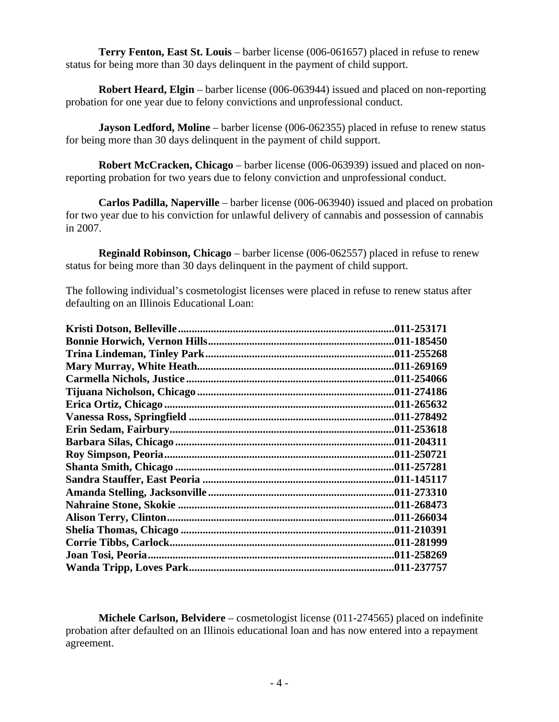**Terry Fenton, East St. Louis** – barber license (006-061657) placed in refuse to renew status for being more than 30 days delinquent in the payment of child support.

 **Robert Heard, Elgin** – barber license (006-063944) issued and placed on non-reporting probation for one year due to felony convictions and unprofessional conduct.

**Jayson Ledford, Moline** – barber license (006-062355) placed in refuse to renew status for being more than 30 days delinquent in the payment of child support.

 **Robert McCracken, Chicago** – barber license (006-063939) issued and placed on nonreporting probation for two years due to felony conviction and unprofessional conduct.

 **Carlos Padilla, Naperville** – barber license (006-063940) issued and placed on probation for two year due to his conviction for unlawful delivery of cannabis and possession of cannabis in 2007.

 **Reginald Robinson, Chicago** – barber license (006-062557) placed in refuse to renew status for being more than 30 days delinquent in the payment of child support.

The following individual's cosmetologist licenses were placed in refuse to renew status after defaulting on an Illinois Educational Loan:

| .011-253171 |
|-------------|
|             |
|             |
| .011-269169 |
| .011-254066 |
|             |
| .011-265632 |
|             |
| .011-253618 |
|             |
| .011-250721 |
| .011-257281 |
| .011-145117 |
| .011-273310 |
| .011-268473 |
|             |
|             |
|             |
| .011-258269 |
| .011-237757 |

 **Michele Carlson, Belvidere** – cosmetologist license (011-274565) placed on indefinite probation after defaulted on an Illinois educational loan and has now entered into a repayment agreement.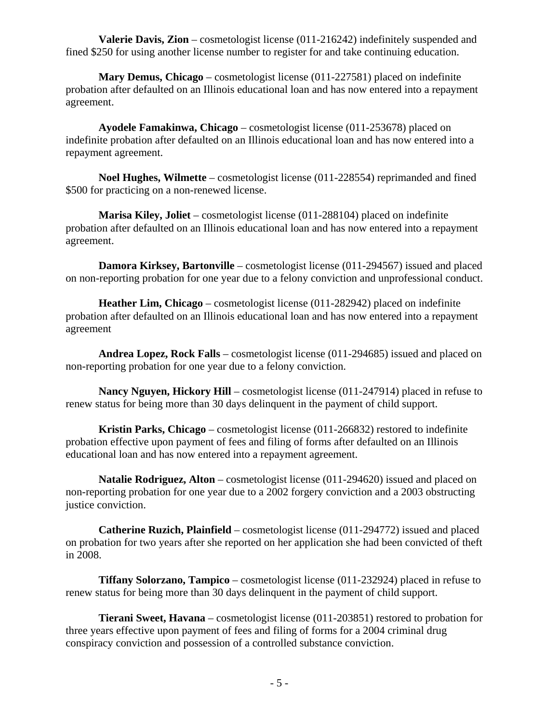**Valerie Davis, Zion** – cosmetologist license (011-216242) indefinitely suspended and fined \$250 for using another license number to register for and take continuing education.

 **Mary Demus, Chicago** – cosmetologist license (011-227581) placed on indefinite probation after defaulted on an Illinois educational loan and has now entered into a repayment agreement.

 **Ayodele Famakinwa, Chicago** – cosmetologist license (011-253678) placed on indefinite probation after defaulted on an Illinois educational loan and has now entered into a repayment agreement.

 **Noel Hughes, Wilmette** – cosmetologist license (011-228554) reprimanded and fined \$500 for practicing on a non-renewed license.

 **Marisa Kiley, Joliet** – cosmetologist license (011-288104) placed on indefinite probation after defaulted on an Illinois educational loan and has now entered into a repayment agreement.

**Damora Kirksey, Bartonville** – cosmetologist license (011-294567) issued and placed on non-reporting probation for one year due to a felony conviction and unprofessional conduct.

 **Heather Lim, Chicago** – cosmetologist license (011-282942) placed on indefinite probation after defaulted on an Illinois educational loan and has now entered into a repayment agreement

 **Andrea Lopez, Rock Falls** – cosmetologist license (011-294685) issued and placed on non-reporting probation for one year due to a felony conviction.

 **Nancy Nguyen, Hickory Hill** – cosmetologist license (011-247914) placed in refuse to renew status for being more than 30 days delinquent in the payment of child support.

 **Kristin Parks, Chicago** – cosmetologist license (011-266832) restored to indefinite probation effective upon payment of fees and filing of forms after defaulted on an Illinois educational loan and has now entered into a repayment agreement.

 **Natalie Rodriguez, Alton** – cosmetologist license (011-294620) issued and placed on non-reporting probation for one year due to a 2002 forgery conviction and a 2003 obstructing justice conviction.

 **Catherine Ruzich, Plainfield** – cosmetologist license (011-294772) issued and placed on probation for two years after she reported on her application she had been convicted of theft in 2008.

 **Tiffany Solorzano, Tampico** – cosmetologist license (011-232924) placed in refuse to renew status for being more than 30 days delinquent in the payment of child support.

 **Tierani Sweet, Havana** – cosmetologist license (011-203851) restored to probation for three years effective upon payment of fees and filing of forms for a 2004 criminal drug conspiracy conviction and possession of a controlled substance conviction.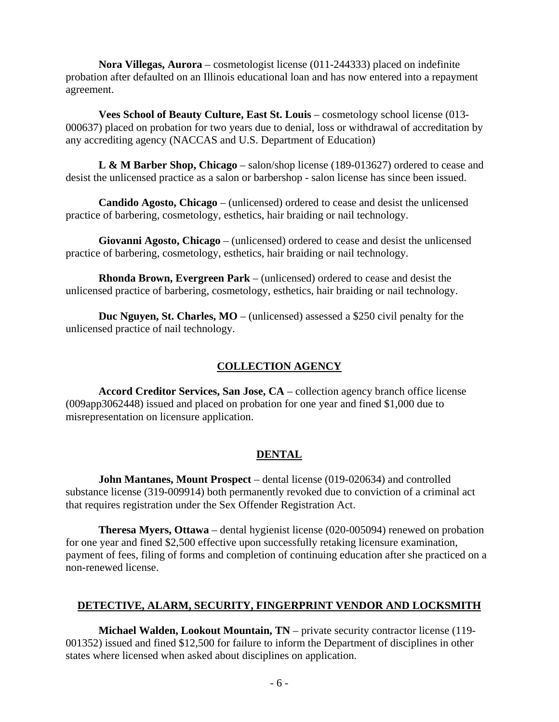**Nora Villegas, Aurora** – cosmetologist license (011-244333) placed on indefinite probation after defaulted on an Illinois educational loan and has now entered into a repayment agreement.

 **Vees School of Beauty Culture, East St. Louis** – cosmetology school license (013- 000637) placed on probation for two years due to denial, loss or withdrawal of accreditation by any accrediting agency (NACCAS and U.S. Department of Education)

 **L & M Barber Shop, Chicago** – salon/shop license (189-013627) ordered to cease and desist the unlicensed practice as a salon or barbershop - salon license has since been issued.

 **Candido Agosto, Chicago** – (unlicensed) ordered to cease and desist the unlicensed practice of barbering, cosmetology, esthetics, hair braiding or nail technology.

 **Giovanni Agosto, Chicago** – (unlicensed) ordered to cease and desist the unlicensed practice of barbering, cosmetology, esthetics, hair braiding or nail technology.

 **Rhonda Brown, Evergreen Park** – (unlicensed) ordered to cease and desist the unlicensed practice of barbering, cosmetology, esthetics, hair braiding or nail technology.

**Duc Nguyen, St. Charles, MO** – (unlicensed) assessed a \$250 civil penalty for the unlicensed practice of nail technology.

# **COLLECTION AGENCY**

 **Accord Creditor Services, San Jose, CA** – collection agency branch office license (009app3062448) issued and placed on probation for one year and fined \$1,000 due to misrepresentation on licensure application.

# **DENTAL**

 **John Mantanes, Mount Prospect** – dental license (019-020634) and controlled substance license (319-009914) both permanently revoked due to conviction of a criminal act that requires registration under the Sex Offender Registration Act.

**Theresa Myers, Ottawa** – dental hygienist license (020-005094) renewed on probation for one year and fined \$2,500 effective upon successfully retaking licensure examination, payment of fees, filing of forms and completion of continuing education after she practiced on a non-renewed license.

# **DETECTIVE, ALARM, SECURITY, FINGERPRINT VENDOR AND LOCKSMITH**

 **Michael Walden, Lookout Mountain, TN** – private security contractor license (119- 001352) issued and fined \$12,500 for failure to inform the Department of disciplines in other states where licensed when asked about disciplines on application.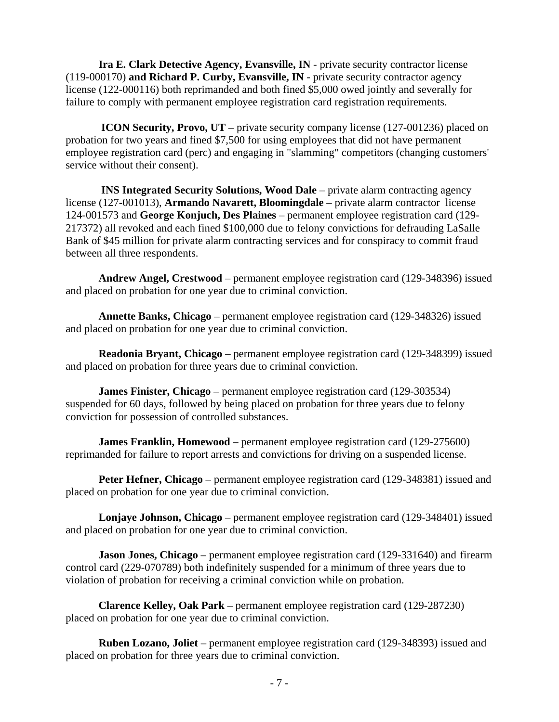**Ira E. Clark Detective Agency, Evansville, IN** - private security contractor license (119-000170) **and Richard P. Curby, Evansville, IN** - private security contractor agency license (122-000116) both reprimanded and both fined \$5,000 owed jointly and severally for failure to comply with permanent employee registration card registration requirements.

 **ICON Security, Provo, UT** – private security company license (127-001236) placed on probation for two years and fined \$7,500 for using employees that did not have permanent employee registration card (perc) and engaging in "slamming" competitors (changing customers' service without their consent).

 **INS Integrated Security Solutions, Wood Dale** – private alarm contracting agency license (127-001013), **Armando Navarett, Bloomingdale** – private alarm contractor license 124-001573 and **George Konjuch, Des Plaines** – permanent employee registration card (129- 217372) all revoked and each fined \$100,000 due to felony convictions for defrauding LaSalle Bank of \$45 million for private alarm contracting services and for conspiracy to commit fraud between all three respondents.

 **Andrew Angel, Crestwood** – permanent employee registration card (129-348396) issued and placed on probation for one year due to criminal conviction.

 **Annette Banks, Chicago** – permanent employee registration card (129-348326) issued and placed on probation for one year due to criminal conviction.

 **Readonia Bryant, Chicago** – permanent employee registration card (129-348399) issued and placed on probation for three years due to criminal conviction.

 **James Finister, Chicago** – permanent employee registration card (129-303534) suspended for 60 days, followed by being placed on probation for three years due to felony conviction for possession of controlled substances.

**James Franklin, Homewood** – permanent employee registration card (129-275600) reprimanded for failure to report arrests and convictions for driving on a suspended license.

**Peter Hefner, Chicago** – permanent employee registration card (129-348381) issued and placed on probation for one year due to criminal conviction.

 **Lonjaye Johnson, Chicago** – permanent employee registration card (129-348401) issued and placed on probation for one year due to criminal conviction.

**Jason Jones, Chicago** – permanent employee registration card (129-331640) and firearm control card (229-070789) both indefinitely suspended for a minimum of three years due to violation of probation for receiving a criminal conviction while on probation.

 **Clarence Kelley, Oak Park** – permanent employee registration card (129-287230) placed on probation for one year due to criminal conviction.

 **Ruben Lozano, Joliet** – permanent employee registration card (129-348393) issued and placed on probation for three years due to criminal conviction.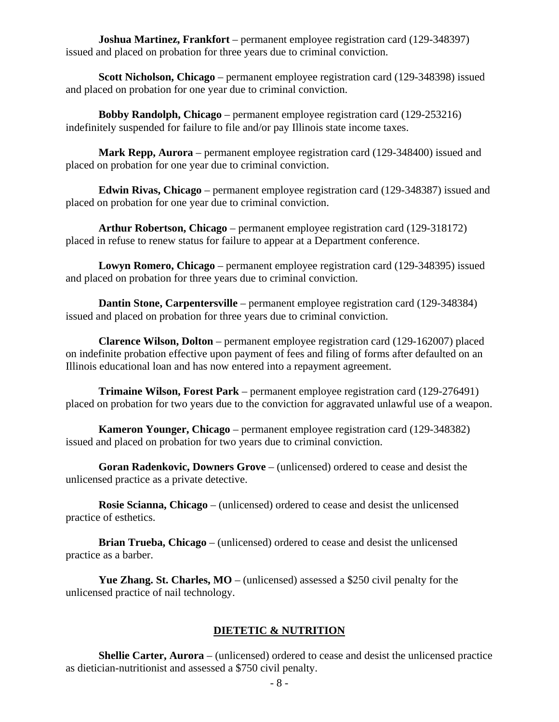**Joshua Martinez, Frankfort** – permanent employee registration card (129-348397) issued and placed on probation for three years due to criminal conviction.

 **Scott Nicholson, Chicago** – permanent employee registration card (129-348398) issued and placed on probation for one year due to criminal conviction.

 **Bobby Randolph, Chicago** – permanent employee registration card (129-253216) indefinitely suspended for failure to file and/or pay Illinois state income taxes.

 **Mark Repp, Aurora** – permanent employee registration card (129-348400) issued and placed on probation for one year due to criminal conviction.

 **Edwin Rivas, Chicago** – permanent employee registration card (129-348387) issued and placed on probation for one year due to criminal conviction.

 **Arthur Robertson, Chicago** – permanent employee registration card (129-318172) placed in refuse to renew status for failure to appear at a Department conference.

 **Lowyn Romero, Chicago** – permanent employee registration card (129-348395) issued and placed on probation for three years due to criminal conviction.

**Dantin Stone, Carpentersville** – permanent employee registration card (129-348384) issued and placed on probation for three years due to criminal conviction.

 **Clarence Wilson, Dolton** – permanent employee registration card (129-162007) placed on indefinite probation effective upon payment of fees and filing of forms after defaulted on an Illinois educational loan and has now entered into a repayment agreement.

 **Trimaine Wilson, Forest Park** – permanent employee registration card (129-276491) placed on probation for two years due to the conviction for aggravated unlawful use of a weapon.

 **Kameron Younger, Chicago** – permanent employee registration card (129-348382) issued and placed on probation for two years due to criminal conviction.

 **Goran Radenkovic, Downers Grove** – (unlicensed) ordered to cease and desist the unlicensed practice as a private detective.

 **Rosie Scianna, Chicago** – (unlicensed) ordered to cease and desist the unlicensed practice of esthetics.

 **Brian Trueba, Chicago** – (unlicensed) ordered to cease and desist the unlicensed practice as a barber.

 **Yue Zhang. St. Charles, MO** – (unlicensed) assessed a \$250 civil penalty for the unlicensed practice of nail technology.

#### **DIETETIC & NUTRITION**

 **Shellie Carter, Aurora** – (unlicensed) ordered to cease and desist the unlicensed practice as dietician-nutritionist and assessed a \$750 civil penalty.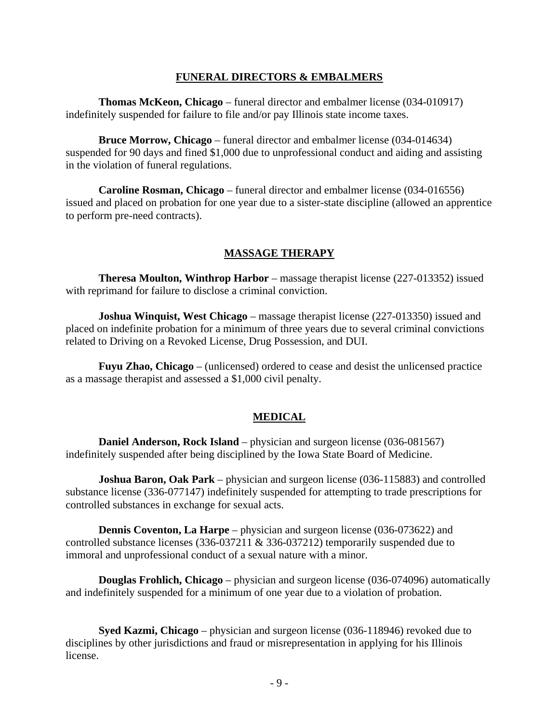#### **FUNERAL DIRECTORS & EMBALMERS**

 **Thomas McKeon, Chicago** – funeral director and embalmer license (034-010917) indefinitely suspended for failure to file and/or pay Illinois state income taxes.

 **Bruce Morrow, Chicago** – funeral director and embalmer license (034-014634) suspended for 90 days and fined \$1,000 due to unprofessional conduct and aiding and assisting in the violation of funeral regulations.

 **Caroline Rosman, Chicago** – funeral director and embalmer license (034-016556) issued and placed on probation for one year due to a sister-state discipline (allowed an apprentice to perform pre-need contracts).

#### **MASSAGE THERAPY**

 **Theresa Moulton, Winthrop Harbor** – massage therapist license (227-013352) issued with reprimand for failure to disclose a criminal conviction.

**Joshua Winquist, West Chicago** – massage therapist license (227-013350) issued and placed on indefinite probation for a minimum of three years due to several criminal convictions related to Driving on a Revoked License, Drug Possession, and DUI.

 **Fuyu Zhao, Chicago** – (unlicensed) ordered to cease and desist the unlicensed practice as a massage therapist and assessed a \$1,000 civil penalty.

#### **MEDICAL**

**Daniel Anderson, Rock Island** – physician and surgeon license (036-081567) indefinitely suspended after being disciplined by the Iowa State Board of Medicine.

 **Joshua Baron, Oak Park** – physician and surgeon license (036-115883) and controlled substance license (336-077147) indefinitely suspended for attempting to trade prescriptions for controlled substances in exchange for sexual acts.

**Dennis Coventon, La Harpe** – physician and surgeon license (036-073622) and controlled substance licenses (336-037211 & 336-037212) temporarily suspended due to immoral and unprofessional conduct of a sexual nature with a minor.

 **Douglas Frohlich, Chicago** – physician and surgeon license (036-074096) automatically and indefinitely suspended for a minimum of one year due to a violation of probation.

 **Syed Kazmi, Chicago** – physician and surgeon license (036-118946) revoked due to disciplines by other jurisdictions and fraud or misrepresentation in applying for his Illinois license.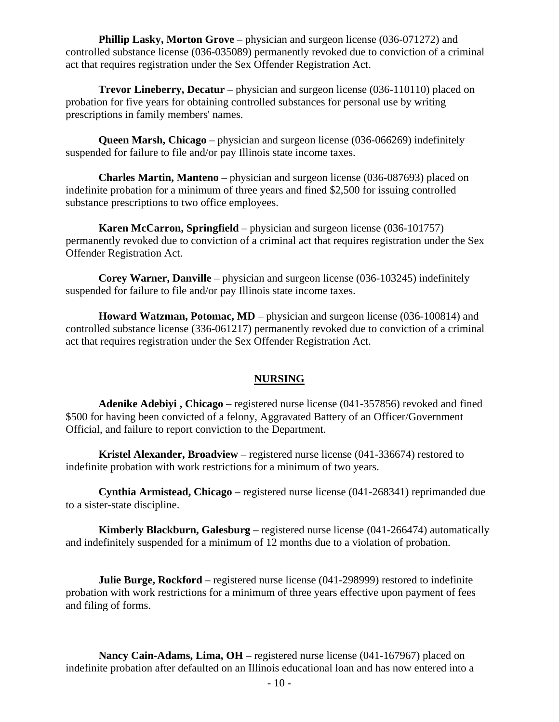**Phillip Lasky, Morton Grove** – physician and surgeon license (036-071272) and controlled substance license (036-035089) permanently revoked due to conviction of a criminal act that requires registration under the Sex Offender Registration Act.

 **Trevor Lineberry, Decatur** – physician and surgeon license (036-110110) placed on probation for five years for obtaining controlled substances for personal use by writing prescriptions in family members' names.

 **Queen Marsh, Chicago** – physician and surgeon license (036-066269) indefinitely suspended for failure to file and/or pay Illinois state income taxes.

 **Charles Martin, Manteno** – physician and surgeon license (036-087693) placed on indefinite probation for a minimum of three years and fined \$2,500 for issuing controlled substance prescriptions to two office employees.

**Karen McCarron, Springfield** – physician and surgeon license (036-101757) permanently revoked due to conviction of a criminal act that requires registration under the Sex Offender Registration Act.

 **Corey Warner, Danville** – physician and surgeon license (036-103245) indefinitely suspended for failure to file and/or pay Illinois state income taxes.

**Howard Watzman, Potomac, MD** – physician and surgeon license (036-100814) and controlled substance license (336-061217) permanently revoked due to conviction of a criminal act that requires registration under the Sex Offender Registration Act.

#### **NURSING**

 **Adenike Adebiyi , Chicago** – registered nurse license (041-357856) revoked and fined \$500 for having been convicted of a felony, Aggravated Battery of an Officer/Government Official, and failure to report conviction to the Department.

 **Kristel Alexander, Broadview** – registered nurse license (041-336674) restored to indefinite probation with work restrictions for a minimum of two years.

 **Cynthia Armistead, Chicago** – registered nurse license (041-268341) reprimanded due to a sister-state discipline.

 **Kimberly Blackburn, Galesburg** – registered nurse license (041-266474) automatically and indefinitely suspended for a minimum of 12 months due to a violation of probation.

**Julie Burge, Rockford** – registered nurse license (041-298999) restored to indefinite probation with work restrictions for a minimum of three years effective upon payment of fees and filing of forms.

 **Nancy Cain-Adams, Lima, OH** – registered nurse license (041-167967) placed on indefinite probation after defaulted on an Illinois educational loan and has now entered into a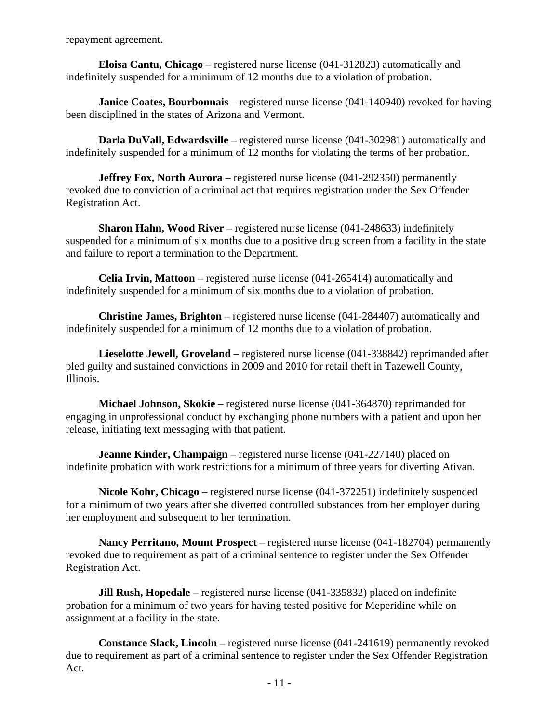repayment agreement.

 **Eloisa Cantu, Chicago** – registered nurse license (041-312823) automatically and indefinitely suspended for a minimum of 12 months due to a violation of probation.

**Janice Coates, Bourbonnais** – registered nurse license (041-140940) revoked for having been disciplined in the states of Arizona and Vermont.

**Darla DuVall, Edwardsville** – registered nurse license (041-302981) automatically and indefinitely suspended for a minimum of 12 months for violating the terms of her probation.

**Jeffrey Fox, North Aurora** – registered nurse license (041-292350) permanently revoked due to conviction of a criminal act that requires registration under the Sex Offender Registration Act.

 **Sharon Hahn, Wood River** – registered nurse license (041-248633) indefinitely suspended for a minimum of six months due to a positive drug screen from a facility in the state and failure to report a termination to the Department.

 **Celia Irvin, Mattoon** – registered nurse license (041-265414) automatically and indefinitely suspended for a minimum of six months due to a violation of probation.

 **Christine James, Brighton** – registered nurse license (041-284407) automatically and indefinitely suspended for a minimum of 12 months due to a violation of probation.

 **Lieselotte Jewell, Groveland** – registered nurse license (041-338842) reprimanded after pled guilty and sustained convictions in 2009 and 2010 for retail theft in Tazewell County, Illinois.

 **Michael Johnson, Skokie** – registered nurse license (041-364870) reprimanded for engaging in unprofessional conduct by exchanging phone numbers with a patient and upon her release, initiating text messaging with that patient.

**Jeanne Kinder, Champaign** – registered nurse license (041-227140) placed on indefinite probation with work restrictions for a minimum of three years for diverting Ativan.

 **Nicole Kohr, Chicago** – registered nurse license (041-372251) indefinitely suspended for a minimum of two years after she diverted controlled substances from her employer during her employment and subsequent to her termination.

 **Nancy Perritano, Mount Prospect** – registered nurse license (041-182704) permanently revoked due to requirement as part of a criminal sentence to register under the Sex Offender Registration Act.

**Jill Rush, Hopedale** – registered nurse license (041-335832) placed on indefinite probation for a minimum of two years for having tested positive for Meperidine while on assignment at a facility in the state.

 **Constance Slack, Lincoln** – registered nurse license (041-241619) permanently revoked due to requirement as part of a criminal sentence to register under the Sex Offender Registration Act.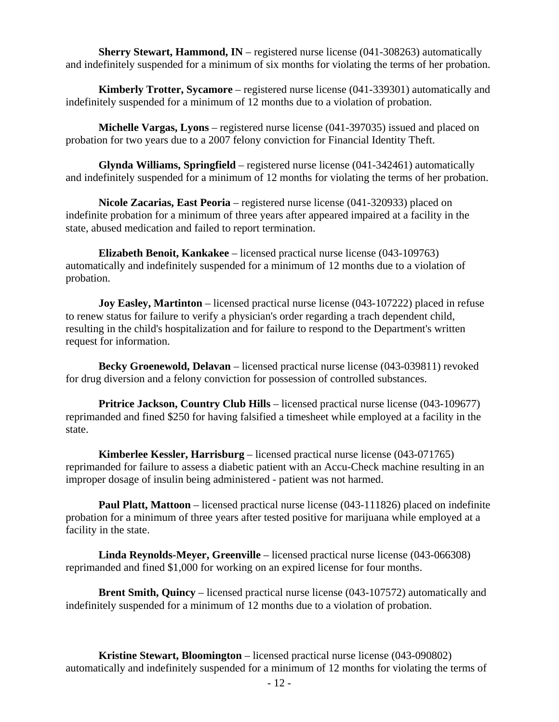**Sherry Stewart, Hammond, IN** – registered nurse license (041-308263) automatically and indefinitely suspended for a minimum of six months for violating the terms of her probation.

 **Kimberly Trotter, Sycamore** – registered nurse license (041-339301) automatically and indefinitely suspended for a minimum of 12 months due to a violation of probation.

 **Michelle Vargas, Lyons** – registered nurse license (041-397035) issued and placed on probation for two years due to a 2007 felony conviction for Financial Identity Theft.

 **Glynda Williams, Springfield** – registered nurse license (041-342461) automatically and indefinitely suspended for a minimum of 12 months for violating the terms of her probation.

 **Nicole Zacarias, East Peoria** – registered nurse license (041-320933) placed on indefinite probation for a minimum of three years after appeared impaired at a facility in the state, abused medication and failed to report termination.

 **Elizabeth Benoit, Kankakee** – licensed practical nurse license (043-109763) automatically and indefinitely suspended for a minimum of 12 months due to a violation of probation.

**Joy Easley, Martinton** – licensed practical nurse license (043-107222) placed in refuse to renew status for failure to verify a physician's order regarding a trach dependent child, resulting in the child's hospitalization and for failure to respond to the Department's written request for information.

 **Becky Groenewold, Delavan** – licensed practical nurse license (043-039811) revoked for drug diversion and a felony conviction for possession of controlled substances.

**Pritrice Jackson, Country Club Hills** – licensed practical nurse license (043-109677) reprimanded and fined \$250 for having falsified a timesheet while employed at a facility in the state.

 **Kimberlee Kessler, Harrisburg** – licensed practical nurse license (043-071765) reprimanded for failure to assess a diabetic patient with an Accu-Check machine resulting in an improper dosage of insulin being administered - patient was not harmed.

 **Paul Platt, Mattoon** – licensed practical nurse license (043-111826) placed on indefinite probation for a minimum of three years after tested positive for marijuana while employed at a facility in the state.

 **Linda Reynolds-Meyer, Greenville** – licensed practical nurse license (043-066308) reprimanded and fined \$1,000 for working on an expired license for four months.

 **Brent Smith, Quincy** – licensed practical nurse license (043-107572) automatically and indefinitely suspended for a minimum of 12 months due to a violation of probation.

 **Kristine Stewart, Bloomington** – licensed practical nurse license (043-090802) automatically and indefinitely suspended for a minimum of 12 months for violating the terms of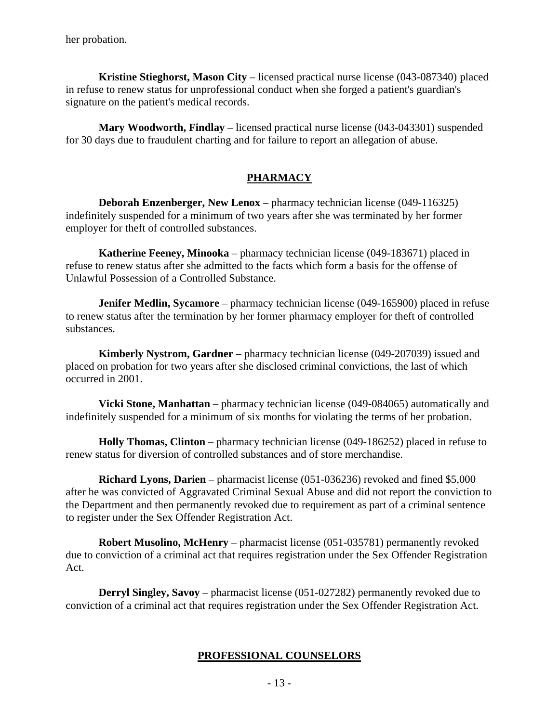her probation.

 **Kristine Stieghorst, Mason City** – licensed practical nurse license (043-087340) placed in refuse to renew status for unprofessional conduct when she forged a patient's guardian's signature on the patient's medical records.

 **Mary Woodworth, Findlay** – licensed practical nurse license (043-043301) suspended for 30 days due to fraudulent charting and for failure to report an allegation of abuse.

#### **PHARMACY**

**Deborah Enzenberger, New Lenox** – pharmacy technician license (049-116325) indefinitely suspended for a minimum of two years after she was terminated by her former employer for theft of controlled substances.

 **Katherine Feeney, Minooka** – pharmacy technician license (049-183671) placed in refuse to renew status after she admitted to the facts which form a basis for the offense of Unlawful Possession of a Controlled Substance.

**Jenifer Medlin, Sycamore** – pharmacy technician license (049-165900) placed in refuse to renew status after the termination by her former pharmacy employer for theft of controlled substances.

 **Kimberly Nystrom, Gardner** – pharmacy technician license (049-207039) issued and placed on probation for two years after she disclosed criminal convictions, the last of which occurred in 2001.

 **Vicki Stone, Manhattan** – pharmacy technician license (049-084065) automatically and indefinitely suspended for a minimum of six months for violating the terms of her probation.

 **Holly Thomas, Clinton** – pharmacy technician license (049-186252) placed in refuse to renew status for diversion of controlled substances and of store merchandise.

 **Richard Lyons, Darien** – pharmacist license (051-036236) revoked and fined \$5,000 after he was convicted of Aggravated Criminal Sexual Abuse and did not report the conviction to the Department and then permanently revoked due to requirement as part of a criminal sentence to register under the Sex Offender Registration Act.

 **Robert Musolino, McHenry** – pharmacist license (051-035781) permanently revoked due to conviction of a criminal act that requires registration under the Sex Offender Registration Act.

 **Derryl Singley, Savoy** – pharmacist license (051-027282) permanently revoked due to conviction of a criminal act that requires registration under the Sex Offender Registration Act.

#### **PROFESSIONAL COUNSELORS**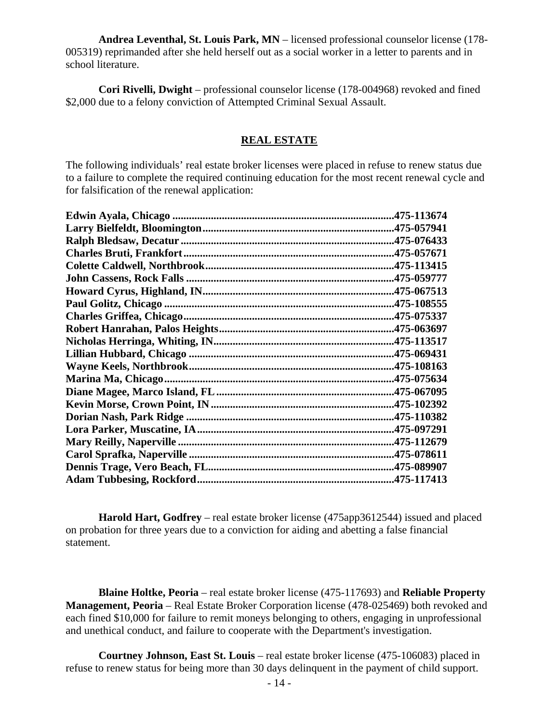**Andrea Leventhal, St. Louis Park, MN** – licensed professional counselor license (178- 005319) reprimanded after she held herself out as a social worker in a letter to parents and in school literature.

 **Cori Rivelli, Dwight** – professional counselor license (178-004968) revoked and fined \$2,000 due to a felony conviction of Attempted Criminal Sexual Assault.

#### **REAL ESTATE**

The following individuals' real estate broker licenses were placed in refuse to renew status due to a failure to complete the required continuing education for the most recent renewal cycle and for falsification of the renewal application:

| .475-113674 |
|-------------|
|             |
|             |
|             |
|             |
|             |
| .475-067513 |
| .475-108555 |
|             |
|             |
|             |
| .475-069431 |
|             |
| .475-075634 |
|             |
| .475-102392 |
| .475-110382 |
|             |
|             |
|             |
| .475-089907 |
|             |

 **Harold Hart, Godfrey** – real estate broker license (475app3612544) issued and placed on probation for three years due to a conviction for aiding and abetting a false financial statement.

 **Blaine Holtke, Peoria** – real estate broker license (475-117693) and **Reliable Property Management, Peoria** – Real Estate Broker Corporation license (478-025469) both revoked and each fined \$10,000 for failure to remit moneys belonging to others, engaging in unprofessional and unethical conduct, and failure to cooperate with the Department's investigation.

 **Courtney Johnson, East St. Louis** – real estate broker license (475-106083) placed in refuse to renew status for being more than 30 days delinquent in the payment of child support.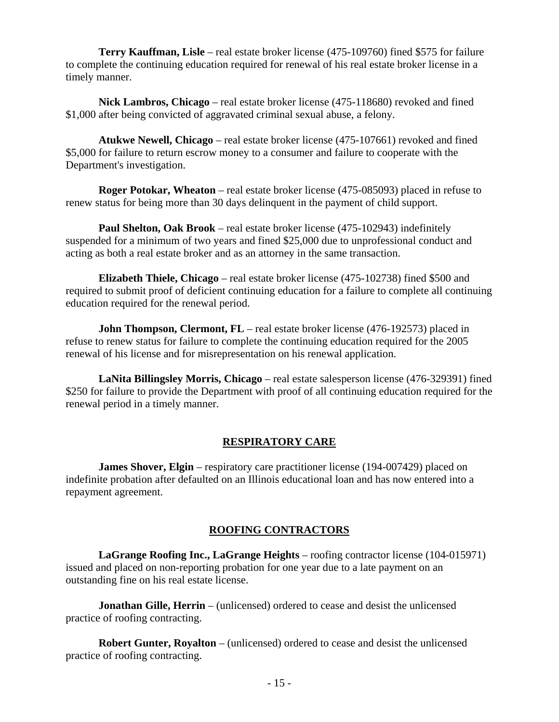**Terry Kauffman, Lisle** – real estate broker license (475-109760) fined \$575 for failure to complete the continuing education required for renewal of his real estate broker license in a timely manner.

 **Nick Lambros, Chicago** – real estate broker license (475-118680) revoked and fined \$1,000 after being convicted of aggravated criminal sexual abuse, a felony.

 **Atukwe Newell, Chicago** – real estate broker license (475-107661) revoked and fined \$5,000 for failure to return escrow money to a consumer and failure to cooperate with the Department's investigation.

 **Roger Potokar, Wheaton** – real estate broker license (475-085093) placed in refuse to renew status for being more than 30 days delinquent in the payment of child support.

 **Paul Shelton, Oak Brook** – real estate broker license (475-102943) indefinitely suspended for a minimum of two years and fined \$25,000 due to unprofessional conduct and acting as both a real estate broker and as an attorney in the same transaction.

 **Elizabeth Thiele, Chicago** – real estate broker license (475-102738) fined \$500 and required to submit proof of deficient continuing education for a failure to complete all continuing education required for the renewal period.

**John Thompson, Clermont, FL** – real estate broker license (476-192573) placed in refuse to renew status for failure to complete the continuing education required for the 2005 renewal of his license and for misrepresentation on his renewal application.

 **LaNita Billingsley Morris, Chicago** – real estate salesperson license (476-329391) fined \$250 for failure to provide the Department with proof of all continuing education required for the renewal period in a timely manner.

#### **RESPIRATORY CARE**

**James Shover, Elgin** – respiratory care practitioner license (194-007429) placed on indefinite probation after defaulted on an Illinois educational loan and has now entered into a repayment agreement.

# **ROOFING CONTRACTORS**

 **LaGrange Roofing Inc., LaGrange Heights** – roofing contractor license (104-015971) issued and placed on non-reporting probation for one year due to a late payment on an outstanding fine on his real estate license.

**Jonathan Gille, Herrin** – (unlicensed) ordered to cease and desist the unlicensed practice of roofing contracting.

 **Robert Gunter, Royalton** – (unlicensed) ordered to cease and desist the unlicensed practice of roofing contracting.